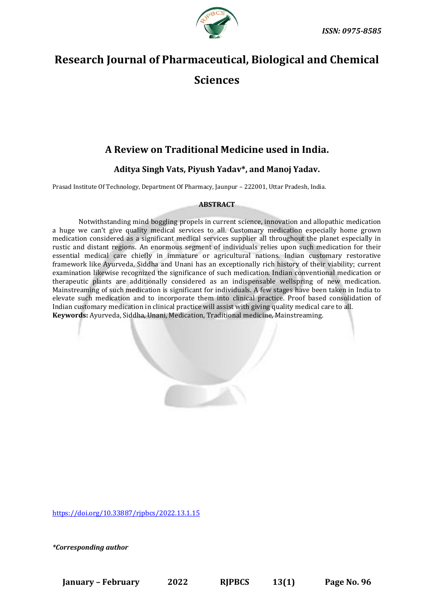

# **Research Journal of Pharmaceutical, Biological and Chemical Sciences**

# **A Review on Traditional Medicine used in India.**

# **Aditya Singh Vats, Piyush Yadav\*, and Manoj Yadav.**

Prasad Institute Of Technology, Department Of Pharmacy, Jaunpur – 222001, Uttar Pradesh, India.

### **ABSTRACT**

Notwithstanding mind boggling propels in current science, innovation and allopathic medication a huge we can't give quality medical services to all. Customary medication especially home grown medication considered as a significant medical services supplier all throughout the planet especially in rustic and distant regions. An enormous segment of individuals relies upon such medication for their essential medical care chiefly in immature or agricultural nations. Indian customary restorative framework like Ayurveda, Siddha and Unani has an exceptionally rich history of their viability; current examination likewise recognized the significance of such medication. Indian conventional medication or therapeutic plants are additionally considered as an indispensable wellspring of new medication. Mainstreaming of such medication is significant for individuals. A few stages have been taken in India to elevate such medication and to incorporate them into clinical practice. Proof based consolidation of Indian customary medication in clinical practice will assist with giving quality medical care to all. **Keywords:** Ayurveda, Siddha, Unani, Medication, Traditional medicine, Mainstreaming.

<https://doi.org/10.33887/rjpbcs/2022.13.1.15>

*\*Corresponding author*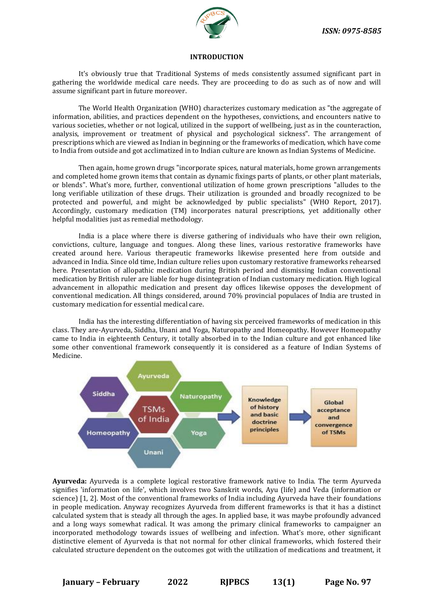

#### **INTRODUCTION**

It's obviously true that Traditional Systems of meds consistently assumed significant part in gathering the worldwide medical care needs. They are proceeding to do as such as of now and will assume significant part in future moreover.

The World Health Organization (WHO) characterizes customary medication as "the aggregate of information, abilities, and practices dependent on the hypotheses, convictions, and encounters native to various societies, whether or not logical, utilized in the support of wellbeing, just as in the counteraction, analysis, improvement or treatment of physical and psychological sickness". The arrangement of prescriptions which are viewed as Indian in beginning or the frameworks of medication, which have come to India from outside and got acclimatized in to Indian culture are known as Indian Systems of Medicine.

Then again, home grown drugs "incorporate spices, natural materials, home grown arrangements and completed home grown items that contain as dynamic fixings parts of plants, or other plant materials, or blends". What's more, further, conventional utilization of home grown prescriptions "alludes to the long verifiable utilization of these drugs. Their utilization is grounded and broadly recognized to be protected and powerful, and might be acknowledged by public specialists" (WHO Report, 2017). Accordingly, customary medication (TM) incorporates natural prescriptions, yet additionally other helpful modalities just as remedial methodology.

India is a place where there is diverse gathering of individuals who have their own religion, convictions, culture, language and tongues. Along these lines, various restorative frameworks have created around here. Various therapeutic frameworks likewise presented here from outside and advanced in India. Since old time, Indian culture relies upon customary restorative frameworks rehearsed here. Presentation of allopathic medication during British period and dismissing Indian conventional medication by British ruler are liable for huge disintegration of Indian customary medication. High logical advancement in allopathic medication and present day offices likewise opposes the development of conventional medication. All things considered, around 70% provincial populaces of India are trusted in customary medication for essential medical care.

India has the interesting differentiation of having six perceived frameworks of medication in this class. They are-Ayurveda, Siddha, Unani and Yoga, Naturopathy and Homeopathy. However Homeopathy came to India in eighteenth Century, it totally absorbed in to the Indian culture and got enhanced like some other conventional framework consequently it is considered as a feature of Indian Systems of Medicine.



**Ayurveda:** Ayurveda is a complete logical restorative framework native to India. The term Ayurveda signifies 'information on life', which involves two Sanskrit words, Ayu (life) and Veda (information or science) [1, 2]. Most of the conventional frameworks of India including Ayurveda have their foundations in people medication. Anyway recognizes Ayurveda from different frameworks is that it has a distinct calculated system that is steady all through the ages. In applied base, it was maybe profoundly advanced and a long ways somewhat radical. It was among the primary clinical frameworks to campaigner an incorporated methodology towards issues of wellbeing and infection. What's more, other significant distinctive element of Ayurveda is that not normal for other clinical frameworks, which fostered their calculated structure dependent on the outcomes got with the utilization of medications and treatment, it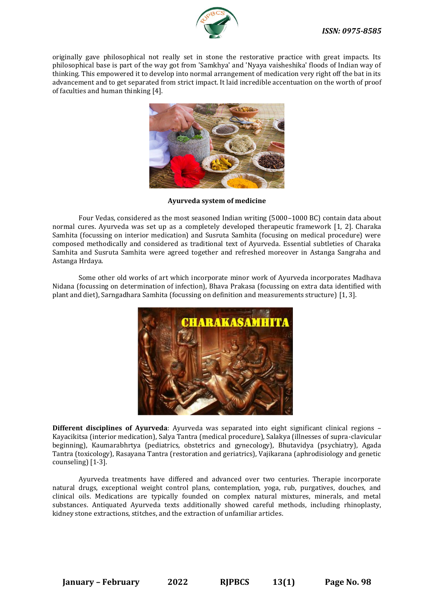

originally gave philosophical not really set in stone the restorative practice with great impacts. Its philosophical base is part of the way got from 'Samkhya' and 'Nyaya vaisheshika' floods of Indian way of thinking. This empowered it to develop into normal arrangement of medication very right off the bat in its advancement and to get separated from strict impact. It laid incredible accentuation on the worth of proof of faculties and human thinking [4].



**Ayurveda system of medicine**

Four Vedas, considered as the most seasoned Indian writing (5000–1000 BC) contain data about normal cures. Ayurveda was set up as a completely developed therapeutic framework [1, 2]. Charaka Samhita (focussing on interior medication) and Susruta Samhita (focusing on medical procedure) were composed methodically and considered as traditional text of Ayurveda. Essential subtleties of Charaka Samhita and Susruta Samhita were agreed together and refreshed moreover in Astanga Sangraha and Astanga Hrdaya.

Some other old works of art which incorporate minor work of Ayurveda incorporates Madhava Nidana (focussing on determination of infection), Bhava Prakasa (focussing on extra data identified with plant and diet), Sarngadhara Samhita (focussing on definition and measurements structure) [1, 3].



**Different disciplines of Ayurveda**: Ayurveda was separated into eight significant clinical regions – Kayacikitsa (interior medication), Salya Tantra (medical procedure), Salakya (illnesses of supra-clavicular beginning), Kaumarabhrtya (pediatrics, obstetrics and gynecology), Bhutavidya (psychiatry), Agada Tantra (toxicology), Rasayana Tantra (restoration and geriatrics), Vajikarana (aphrodisiology and genetic counseling) [1-3].

Ayurveda treatments have differed and advanced over two centuries. Therapie incorporate natural drugs, exceptional weight control plans, contemplation, yoga, rub, purgatives, douches, and clinical oils. Medications are typically founded on complex natural mixtures, minerals, and metal substances. Antiquated Ayurveda texts additionally showed careful methods, including rhinoplasty, kidney stone extractions, stitches, and the extraction of unfamiliar articles.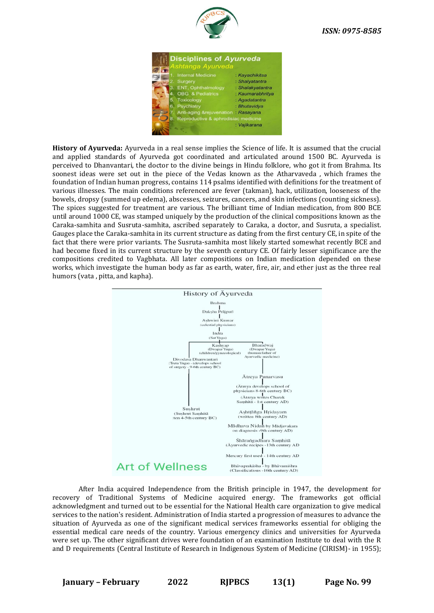



**History of Ayurveda:** Ayurveda in a real sense implies the Science of life. It is assumed that the crucial and applied standards of Ayurveda got coordinated and articulated around 1500 BC. Ayurveda is perceived to Dhanvantari, the doctor to the divine beings in Hindu folklore, who got it from Brahma. Its soonest ideas were set out in the piece of the Vedas known as the Atharvaveda , which frames the foundation of Indian human progress, contains 114 psalms identified with definitions for the treatment of various illnesses. The main conditions referenced are fever (takman), hack, utilization, looseness of the bowels, dropsy (summed up edema), abscesses, seizures, cancers, and skin infections (counting sickness). The spices suggested for treatment are various. The brilliant time of Indian medication, from 800 BCE until around 1000 CE, was stamped uniquely by the production of the clinical compositions known as the Caraka-samhita and Susruta-samhita, ascribed separately to Caraka, a doctor, and Susruta, a specialist. Gauges place the Caraka-samhita in its current structure as dating from the first century CE, in spite of the fact that there were prior variants. The Susruta-samhita most likely started somewhat recently BCE and had become fixed in its current structure by the seventh century CE. Of fairly lesser significance are the compositions credited to Vagbhata. All later compositions on Indian medication depended on these works, which investigate the human body as far as earth, water, fire, air, and ether just as the three real humors (vata , pitta, and kapha).



After India acquired Independence from the British principle in 1947, the development for recovery of Traditional Systems of Medicine acquired energy. The frameworks got official acknowledgment and turned out to be essential for the National Health care organization to give medical services to the nation's resident. Administration of India started a progression of measures to advance the situation of Ayurveda as one of the significant medical services frameworks essential for obliging the essential medical care needs of the country. Various emergency clinics and universities for Ayurveda were set up. The other significant drives were foundation of an examination Institute to deal with the R and D requirements (Central Institute of Research in Indigenous System of Medicine (CIRISM)- in 1955);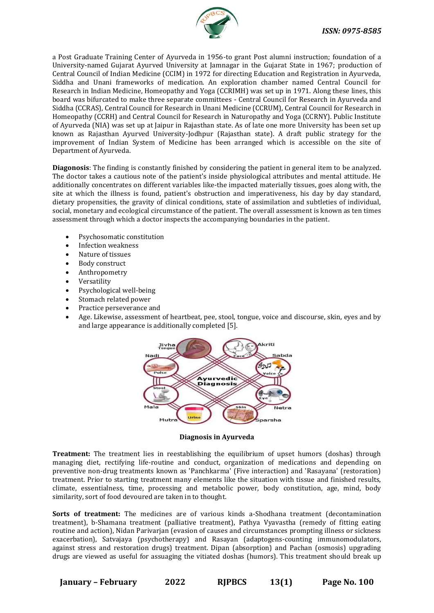

a Post Graduate Training Center of Ayurveda in 1956-to grant Post alumni instruction; foundation of a University-named Gujarat Ayurved University at Jamnagar in the Gujarat State in 1967; production of Central Council of Indian Medicine (CCIM) in 1972 for directing Education and Registration in Ayurveda, Siddha and Unani frameworks of medication. An exploration chamber named Central Council for Research in Indian Medicine, Homeopathy and Yoga (CCRIMH) was set up in 1971. Along these lines, this board was bifurcated to make three separate committees - Central Council for Research in Ayurveda and Siddha (CCRAS), Central Council for Research in Unani Medicine (CCRUM), Central Council for Research in Homeopathy (CCRH) and Central Council for Research in Naturopathy and Yoga (CCRNY). Public Institute of Ayurveda (NIA) was set up at Jaipur in Rajasthan state. As of late one more University has been set up known as Rajasthan Ayurved University-Jodhpur (Rajasthan state). A draft public strategy for the improvement of Indian System of Medicine has been arranged which is accessible on the site of Department of Ayurveda.

**Diagonosis**: The finding is constantly finished by considering the patient in general item to be analyzed. The doctor takes a cautious note of the patient's inside physiological attributes and mental attitude. He additionally concentrates on different variables like-the impacted materially tissues, goes along with, the site at which the illness is found, patient's obstruction and imperativeness, his day by day standard, dietary propensities, the gravity of clinical conditions, state of assimilation and subtleties of individual, social, monetary and ecological circumstance of the patient. The overall assessment is known as ten times assessment through which a doctor inspects the accompanying boundaries in the patient.

- Psychosomatic constitution
- Infection weakness
- Nature of tissues
- Body construct
- Anthropometry
- Versatility
- Psychological well-being
- Stomach related power
- Practice perseverance and
- Age. Likewise, assessment of heartbeat, pee, stool, tongue, voice and discourse, skin, eyes and by and large appearance is additionally completed [5].



**Diagnosis in Ayurveda**

**Treatment:** The treatment lies in reestablishing the equilibrium of upset humors (doshas) through managing diet, rectifying life-routine and conduct, organization of medications and depending on preventive non-drug treatments known as 'Panchkarma' (Five interaction) and 'Rasayana' (restoration) treatment. Prior to starting treatment many elements like the situation with tissue and finished results, climate, essentialness, time, processing and metabolic power, body constitution, age, mind, body similarity, sort of food devoured are taken in to thought.

**Sorts of treatment:** The medicines are of various kinds a-Shodhana treatment (decontamination treatment), b-Shamana treatment (palliative treatment), Pathya Vyavastha (remedy of fitting eating routine and action), Nidan Parivarjan (evasion of causes and circumstances prompting illness or sickness exacerbation), Satvajaya (psychotherapy) and Rasayan (adaptogens-counting immunomodulators, against stress and restoration drugs) treatment. Dipan (absorption) and Pachan (osmosis) upgrading drugs are viewed as useful for assuaging the vitiated doshas (humors). This treatment should break up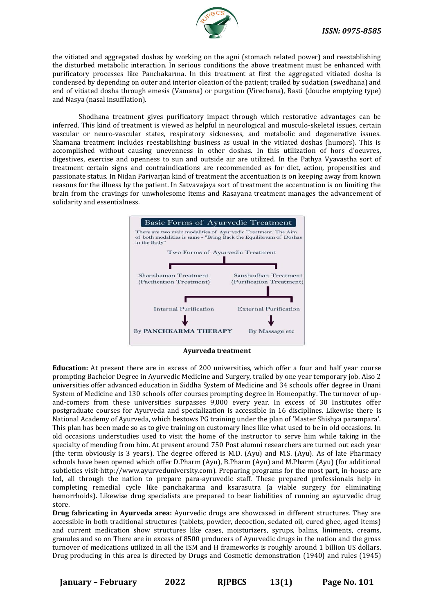

the vitiated and aggregated doshas by working on the agni (stomach related power) and reestablishing the disturbed metabolic interaction. In serious conditions the above treatment must be enhanced with purificatory processes like Panchakarma. In this treatment at first the aggregated vitiated dosha is condensed by depending on outer and interior oleation of the patient; trailed by sudation (swedhana) and end of vitiated dosha through emesis (Vamana) or purgation (Virechana), Basti (douche emptying type) and Nasya (nasal insufflation).

Shodhana treatment gives purificatory impact through which restorative advantages can be inferred. This kind of treatment is viewed as helpful in neurological and musculo-skeletal issues, certain vascular or neuro-vascular states, respiratory sicknesses, and metabolic and degenerative issues. Shamana treatment includes reestablishing business as usual in the vitiated doshas (humors). This is accomplished without causing unevenness in other doshas. In this utilization of hors d'oeuvres, digestives, exercise and openness to sun and outside air are utilized. In the Pathya Vyavastha sort of treatment certain signs and contraindications are recommended as for diet, action, propensities and passionate status. In Nidan Parivarjan kind of treatment the accentuation is on keeping away from known reasons for the illness by the patient. In Satvavajaya sort of treatment the accentuation is on limiting the brain from the cravings for unwholesome items and Rasayana treatment manages the advancement of solidarity and essentialness.



**Ayurveda treatment**

**Education:** At present there are in excess of 200 universities, which offer a four and half year course prompting Bachelor Degree in Ayurvedic Medicine and Surgery, trailed by one year temporary job. Also 2 universities offer advanced education in Siddha System of Medicine and 34 schools offer degree in Unani System of Medicine and 130 schools offer courses prompting degree in Homeopathy. The turnover of upand-comers from these universities surpasses 9,000 every year. In excess of 30 Institutes offer postgraduate courses for Ayurveda and specialization is accessible in 16 disciplines. Likewise there is National Academy of Ayurveda, which bestows PG training under the plan of 'Master Shishya parampara'. This plan has been made so as to give training on customary lines like what used to be in old occasions. In old occasions understudies used to visit the home of the instructor to serve him while taking in the specialty of mending from him. At present around 750 Post alumni researchers are turned out each year (the term obviously is 3 years). The degree offered is M.D. (Ayu) and M.S. (Ayu). As of late Pharmacy schools have been opened which offer D.Pharm (Ayu), B.Pharm (Ayu) and M.Pharm (Ayu) (for additional subtleties visit-http://www.ayurveduniversity.com). Preparing programs for the most part, in-house are led, all through the nation to prepare para-ayruvedic staff. These prepared professionals help in completing remedial cycle like panchakarma and ksarasutra (a viable surgery for eliminating hemorrhoids). Likewise drug specialists are prepared to bear liabilities of running an ayurvedic drug store.

**Drug fabricating in Ayurveda area:** Ayurvedic drugs are showcased in different structures. They are accessible in both traditional structures (tablets, powder, decoction, sedated oil, cured ghee, aged items) and current medication show structures like cases, moisturizers, syrups, balms, liniments, creams, granules and so on There are in excess of 8500 producers of Ayurvedic drugs in the nation and the gross turnover of medications utilized in all the ISM and H frameworks is roughly around 1 billion US dollars. Drug producing in this area is directed by Drugs and Cosmetic demonstration (1940) and rules (1945)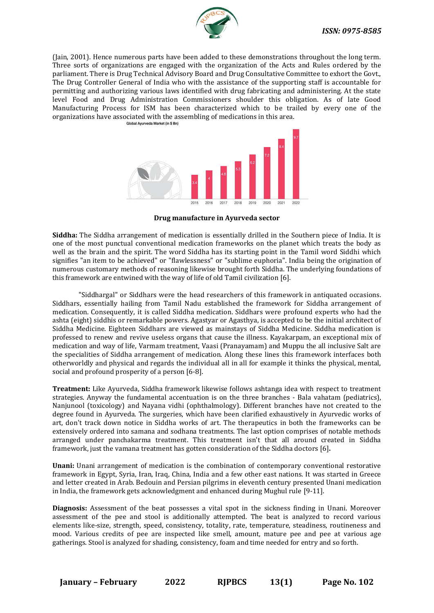

(Jain, 2001). Hence numerous parts have been added to these demonstrations throughout the long term. Three sorts of organizations are engaged with the organization of the Acts and Rules ordered by the parliament. There is Drug Technical Advisory Board and Drug Consultative Committee to exhort the Govt., The Drug Controller General of India who with the assistance of the supporting staff is accountable for permitting and authorizing various laws identified with drug fabricating and administering. At the state level Food and Drug Administration Commissioners shoulder this obligation. As of late Good Manufacturing Process for ISM has been characterized which to be trailed by every one of the organizations have associated with the assembling of medications in this area.<br>
Slobal Ayurveda Market (in \$ Bn)



**Drug manufacture in Ayurveda sector**

**Siddha:** The Siddha arrangement of medication is essentially drilled in the Southern piece of India. It is one of the most punctual conventional medication frameworks on the planet which treats the body as well as the brain and the spirit. The word Siddha has its starting point in the Tamil word Siddhi which signifies "an item to be achieved" or "flawlessness" or "sublime euphoria". India being the origination of numerous customary methods of reasoning likewise brought forth Siddha. The underlying foundations of this framework are entwined with the way of life of old Tamil civilization [6].

"Siddhargal" or Siddhars were the head researchers of this framework in antiquated occasions. Siddhars, essentially hailing from Tamil Nadu established the framework for Siddha arrangement of medication. Consequently, it is called Siddha medication. Siddhars were profound experts who had the ashta (eight) siddhis or remarkable powers. Agastyar or Agasthya, is accepted to be the initial architect of Siddha Medicine. Eighteen Siddhars are viewed as mainstays of Siddha Medicine. Siddha medication is professed to renew and revive useless organs that cause the illness. Kayakarpam, an exceptional mix of medication and way of life, Varmam treatment, Vaasi (Pranayamam) and Muppu the all inclusive Salt are the specialities of Siddha arrangement of medication. Along these lines this framework interfaces both otherworldly and physical and regards the individual all in all for example it thinks the physical, mental, social and profound prosperity of a person [6-8].

**Treatment:** Like Ayurveda, Siddha framework likewise follows ashtanga idea with respect to treatment strategies. Anyway the fundamental accentuation is on the three branches - Bala vahatam (pediatrics), Nanjunool (toxicology) and Nayana vidhi (ophthalmology). Different branches have not created to the degree found in Ayurveda. The surgeries, which have been clarified exhaustively in Ayurvedic works of art, don't track down notice in Siddha works of art. The therapeutics in both the frameworks can be extensively ordered into samana and sodhana treatments. The last option comprises of notable methods arranged under panchakarma treatment. This treatment isn't that all around created in Siddha framework, just the vamana treatment has gotten consideration of the Siddha doctors [6]**.**

**Unani:** Unani arrangement of medication is the combination of contemporary conventional restorative framework in Egypt, Syria, Iran, Iraq, China, India and a few other east nations. It was started in Greece and letter created in Arab. Bedouin and Persian pilgrims in eleventh century presented Unani medication in India, the framework gets acknowledgment and enhanced during Mughul rule [9-11].

**Diagnosis:** Assessment of the beat possesses a vital spot in the sickness finding in Unani. Moreover assessment of the pee and stool is additionally attempted. The beat is analyzed to record various elements like-size, strength, speed, consistency, totality, rate, temperature, steadiness, routineness and mood. Various credits of pee are inspected like smell, amount, mature pee and pee at various age gatherings. Stool is analyzed for shading, consistency, foam and time needed for entry and so forth.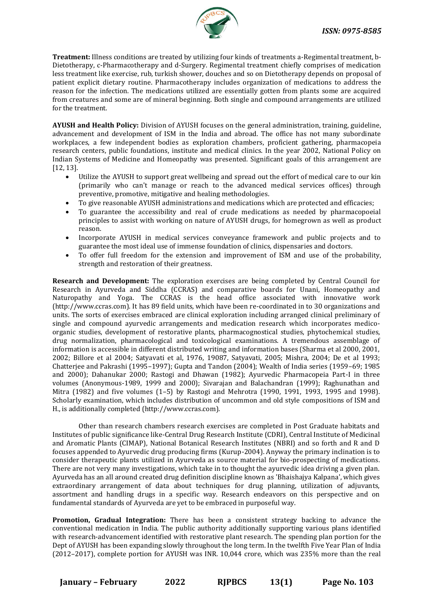

**Treatment:** Illness conditions are treated by utilizing four kinds of treatments a-Regimental treatment, b-Dietotherapy, c-Pharmacotherapy and d-Surgery. Regimental treatment chiefly comprises of medication less treatment like exercise, rub, turkish shower, douches and so on Dietotherapy depends on proposal of patient explicit dietary routine. Pharmacotherapy includes organization of medications to address the reason for the infection. The medications utilized are essentially gotten from plants some are acquired from creatures and some are of mineral beginning. Both single and compound arrangements are utilized for the treatment.

**AYUSH and Health Policy:** Division of AYUSH focuses on the general administration, training, guideline, advancement and development of ISM in the India and abroad. The office has not many subordinate workplaces, a few independent bodies as exploration chambers, proficient gathering, pharmacopeia research centers, public foundations, institute and medical clinics. In the year 2002, National Policy on Indian Systems of Medicine and Homeopathy was presented. Significant goals of this arrangement are [12, 13].

- Utilize the AYUSH to support great wellbeing and spread out the effort of medical care to our kin (primarily who can't manage or reach to the advanced medical services offices) through preventive, promotive, mitigative and healing methodologies.
- To give reasonable AYUSH administrations and medications which are protected and efficacies;
- To guarantee the accessibility and real of crude medications as needed by pharmacopoeial principles to assist with working on nature of AYUSH drugs, for homegrown as well as product reason.
- Incorporate AYUSH in medical services conveyance framework and public projects and to guarantee the most ideal use of immense foundation of clinics, dispensaries and doctors.
- To offer full freedom for the extension and improvement of ISM and use of the probability, strength and restoration of their greatness.

**Research and Development:** The exploration exercises are being completed by Central Council for Research in Ayurveda and Siddha (CCRAS) and comparative boards for Unani, Homeopathy and Naturopathy and Yoga. The CCRAS is the head office associated with innovative work (http://www.ccras.com). It has 89 field units, which have been re-coordinated in to 30 organizations and units. The sorts of exercises embraced are clinical exploration including arranged clinical preliminary of single and compound ayurvedic arrangements and medication research which incorporates medicoorganic studies, development of restorative plants, pharmacognostical studies, phytochemical studies, drug normalization, pharmacological and toxicological examinations. A tremendous assemblage of information is accessible in different distributed writing and information bases (Sharma et al 2000, 2001, 2002; Billore et al 2004; Satyavati et al, 1976, 19087, Satyavati, 2005; Mishra, 2004; De et al 1993; Chatterjee and Pakrashi (1995–1997); Gupta and Tandon (2004); Wealth of India series (1959–69; 1985 and 2000); Dahanukar 2000; Rastogi and Dhawan (1982); Ayurvedic Pharmacopeia Part-I in three volumes (Anonymous-1989, 1999 and 2000); Sivarajan and Balachandran (1999); Raghunathan and Mitra (1982) and five volumes (1–5) by Rastogi and Mehrotra (1990, 1991, 1993, 1995 and 1998). Scholarly examination, which includes distribution of uncommon and old style compositions of ISM and H., is additionally completed (http://www.ccras.com).

Other than research chambers research exercises are completed in Post Graduate habitats and Institutes of public significance like-Central Drug Research Institute (CDRI), Central Institute of Medicinal and Aromatic Plants (CIMAP), National Botanical Research Institutes (NBRI) and so forth and R and D focuses appended to Ayurvedic drug producing firms (Kurup-2004). Anyway the primary inclination is to consider therapeutic plants utilized in Ayurveda as source material for bio-prospecting of medications. There are not very many investigations, which take in to thought the ayurvedic idea driving a given plan. Ayurveda has an all around created drug definition discipline known as 'Bhaishajya Kalpana', which gives extraordinary arrangement of data about techniques for drug planning, utilization of adjuvants, assortment and handling drugs in a specific way. Research endeavors on this perspective and on fundamental standards of Ayurveda are yet to be embraced in purposeful way.

**Promotion, Gradual Integration:** There has been a consistent strategy backing to advance the conventional medication in India. The public authority additionally supporting various plans identified with research-advancement identified with restorative plant research. The spending plan portion for the Dept of AYUSH has been expanding slowly throughout the long term. In the twelfth Five Year Plan of India (2012–2017), complete portion for AYUSH was INR. 10,044 crore, which was 235% more than the real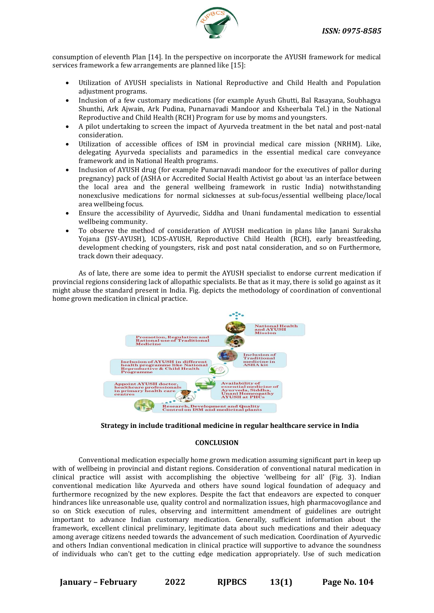

consumption of eleventh Plan [14]. In the perspective on incorporate the AYUSH framework for medical services framework a few arrangements are planned like [15]:

- Utilization of AYUSH specialists in National Reproductive and Child Health and Population adjustment programs.
- Inclusion of a few customary medications (for example Ayush Ghutti, Bal Rasayana, Soubhagya Shunthi, Ark Ajwain, Ark Pudina, Punarnavadi Mandoor and Ksheerbala Tel.) in the National Reproductive and Child Health (RCH) Program for use by moms and youngsters.
- A pilot undertaking to screen the impact of Ayurveda treatment in the bet natal and post-natal consideration.
- Utilization of accessible offices of ISM in provincial medical care mission (NRHM). Like, delegating Ayurveda specialists and paramedics in the essential medical care conveyance framework and in National Health programs.
- Inclusion of AYUSH drug (for example Punarnavadi mandoor for the executives of pallor during pregnancy) pack of (ASHA or Accredited Social Health Activist go about ias an interface between the local area and the general wellbeing framework in rustic India) notwithstanding nonexclusive medications for normal sicknesses at sub-focus/essential wellbeing place/local area wellbeing focus.
- Ensure the accessibility of Ayurvedic, Siddha and Unani fundamental medication to essential wellbeing community.
- To observe the method of consideration of AYUSH medication in plans like Janani Suraksha Yojana (JSY-AYUSH), ICDS-AYUSH, Reproductive Child Health (RCH), early breastfeeding, development checking of youngsters, risk and post natal consideration, and so on Furthermore, track down their adequacy.

As of late, there are some idea to permit the AYUSH specialist to endorse current medication if provincial regions considering lack of allopathic specialists. Be that as it may, there is solid go against as it might abuse the standard present in India. Fig. depicts the methodology of coordination of conventional home grown medication in clinical practice.



## **Strategy in include traditional medicine in regular healthcare service in India**

#### **CONCLUSION**

Conventional medication especially home grown medication assuming significant part in keep up with of wellbeing in provincial and distant regions. Consideration of conventional natural medication in clinical practice will assist with accomplishing the objective 'wellbeing for all' (Fig. 3). Indian conventional medication like Ayurveda and others have sound logical foundation of adequacy and furthermore recognized by the new explores. Despite the fact that endeavors are expected to conquer hindrances like unreasonable use, quality control and normalization issues, high pharmacovogilance and so on Stick execution of rules, observing and intermittent amendment of guidelines are outright important to advance Indian customary medication. Generally, sufficient information about the framework, excellent clinical preliminary, legitimate data about such medications and their adequacy among average citizens needed towards the advancement of such medication. Coordination of Ayurvedic and others Indian conventional medication in clinical practice will supportive to advance the soundness of individuals who can't get to the cutting edge medication appropriately. Use of such medication